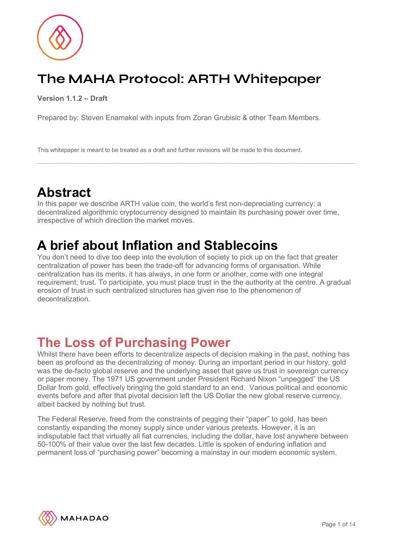# **The MAHA Protocol: ARTH Whitepaper**

**Version 1.1.2 – Draft**

Prepared by: Steven Enamakel with inputs from Zoran Grubisic & other Team Members.

This whitepaper is meant to be treated as a draft and further revisions will be made to this document.

## **Abstract**

In this paper we describe ARTH value coin, the world's first non-depreciating currency: a decentralized algorithmic cryptocurrency designed to maintain its purchasing power over time, irrespective of which direction the market moves.

## **A brief about Inflation and Stablecoins**

You don't need to dive too deep into the evolution of society to pick up on the fact that greater centralization of power has been the trade-off for advancing forms of organisation. While centralization has its merits, it has always, in one form or another, come with one integral requirement; trust. To participate, you must place trust in the the authority at the centre. A gradual erosion of trust in such centralized structures has given rise to the phenomenon of decentralization.

## **The Loss of Purchasing Power**

Whilst there have been efforts to decentralize aspects of decision making in the past, nothing has been as profound as the decentralizing of money. During an important period in our history, gold was the de-facto global reserve and the underlying asset that gave us trust in sovereign currency or paper money. The 1971 US government under President Richard Nixon "unpegged" the US Dollar from gold, effectively bringing the gold standard to an end. Various political and economic events before and after that pivotal decision left the US Dollar the new global reserve currency, albeit backed by nothing but trust.

The Federal Reserve, freed from the constraints of pegging their "paper" to gold, has been constantly expanding the money supply since under various pretexts. However, it is an indisputable fact that virtually all fiat currencies, including the dollar, have lost anywhere between 50-100% of their value over the last few decades. Little is spoken of enduring inflation and permanent loss of "purchasing power" becoming a mainstay in our modern economic system.

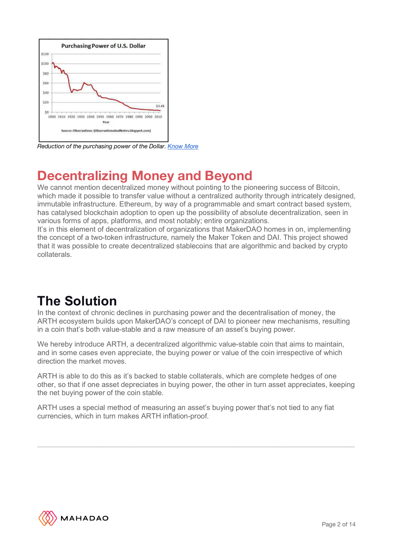

*Reduction of the purchasing power of the Dollar. Know More*

## **Decentralizing Money and Beyond**

We cannot mention decentralized money without pointing to the pioneering success of Bitcoin, which made it possible to transfer value without a centralized authority through intricately designed, immutable infrastructure. Ethereum, by way of a programmable and smart contract based system, has catalysed blockchain adoption to open up the possibility of absolute decentralization, seen in various forms of apps, platforms, and most notably; entire organizations.

It's in this element of decentralization of organizations that MakerDAO homes in on, implementing the concept of a two-token infrastructure, namely the Maker Token and DAI. This project showed that it was possible to create decentralized stablecoins that are algorithmic and backed by crypto collaterals.

## **The Solution**

In the context of chronic declines in purchasing power and the decentralisation of money, the ARTH ecosystem builds upon MakerDAO's concept of DAI to pioneer new mechanisms, resulting in a coin that's both value-stable and a raw measure of an asset's buying power.

We hereby introduce ARTH, a decentralized algorithmic value-stable coin that aims to maintain, and in some cases even appreciate, the buying power or value of the coin irrespective of which direction the market moves.

ARTH is able to do this as it's backed to stable collaterals, which are complete hedges of one other, so that if one asset depreciates in buying power, the other in turn asset appreciates, keeping the net buying power of the coin stable.

ARTH uses a special method of measuring an asset's buying power that's not tied to any fiat currencies, which in turn makes ARTH inflation-proof.

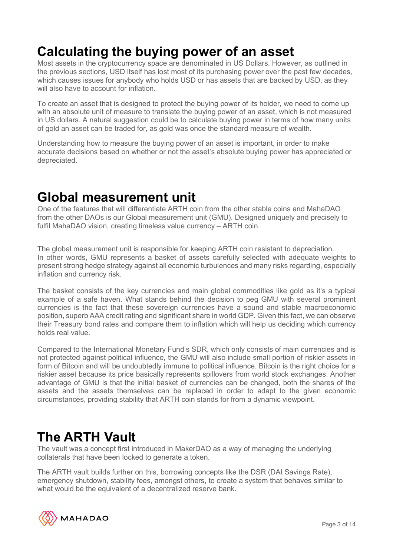## **Calculating the buying power of an asset**

Most assets in the cryptocurrency space are denominated in US Dollars. However, as outlined in the previous sections, USD itself has lost most of its purchasing power over the past few decades, which causes issues for anybody who holds USD or has assets that are backed by USD, as they will also have to account for inflation.

To create an asset that is designed to protect the buying power of its holder, we need to come up with an absolute unit of measure to translate the buying power of an asset, which is not measured in US dollars. A natural suggestion could be to calculate buying power in terms of how many units of gold an asset can be traded for, as gold was once the standard measure of wealth.

Understanding how to measure the buying power of an asset is important, in order to make accurate decisions based on whether or not the asset's absolute buying power has appreciated or depreciated.

## **Global measurement unit**

One of the features that will differentiate ARTH coin from the other stable coins and MahaDAO from the other DAOs is our Global measurement unit (GMU). Designed uniquely and precisely to fulfil MahaDAO vision, creating timeless value currency – ARTH coin.

The global measurement unit is responsible for keeping ARTH coin resistant to depreciation. In other words, GMU represents a basket of assets carefully selected with adequate weights to present strong hedge strategy against all economic turbulences and many risks regarding, especially inflation and currency risk.

The basket consists of the key currencies and main global commodities like gold as it's a typical example of a safe haven. What stands behind the decision to peg GMU with several prominent currencies is the fact that these sovereign currencies have a sound and stable macroeconomic position, superb AAA credit rating and significant share in world GDP. Given this fact, we can observe their Treasury bond rates and compare them to inflation which will help us deciding which currency holds real value.

Compared to the International Monetary Fund's SDR, which only consists of main currencies and is not protected against political influence, the GMU will also include small portion of riskier assets in form of Bitcoin and will be undoubtedly immune to political influence. Bitcoin is the right choice for a riskier asset because its price basically represents spillovers from world stock exchanges. Another advantage of GMU is that the initial basket of currencies can be changed, both the shares of the assets and the assets themselves can be replaced in order to adapt to the given economic circumstances, providing stability that ARTH coin stands for from a dynamic viewpoint.

## **The ARTH Vault**

The vault was a concept first introduced in MakerDAO as a way of managing the underlying collaterals that have been locked to generate a token.

The ARTH vault builds further on this, borrowing concepts like the DSR (DAI Savings Rate), emergency shutdown, stability fees, amongst others, to create a system that behaves similar to what would be the equivalent of a decentralized reserve bank.

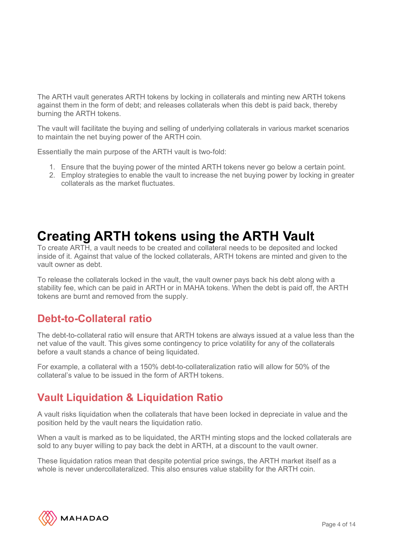The ARTH vault generates ARTH tokens by locking in collaterals and minting new ARTH tokens against them in the form of debt; and releases collaterals when this debt is paid back, thereby burning the ARTH tokens.

The vault will facilitate the buying and selling of underlying collaterals in various market scenarios to maintain the net buying power of the ARTH coin.

Essentially the main purpose of the ARTH vault is two-fold:

- 1. Ensure that the buying power of the minted ARTH tokens never go below a certain point.
- 2. Employ strategies to enable the vault to increase the net buying power by locking in greater collaterals as the market fluctuates.

## **Creating ARTH tokens using the ARTH Vault**

To create ARTH, a vault needs to be created and collateral needs to be deposited and locked inside of it. Against that value of the locked collaterals, ARTH tokens are minted and given to the vault owner as debt.

To release the collaterals locked in the vault, the vault owner pays back his debt along with a stability fee, which can be paid in ARTH or in MAHA tokens. When the debt is paid off, the ARTH tokens are burnt and removed from the supply.

#### **Debt-to-Collateral ratio**

The debt-to-collateral ratio will ensure that ARTH tokens are always issued at a value less than the net value of the vault. This gives some contingency to price volatility for any of the collaterals before a vault stands a chance of being liquidated.

For example, a collateral with a 150% debt-to-collateralization ratio will allow for 50% of the collateral's value to be issued in the form of ARTH tokens.

#### **Vault Liquidation & Liquidation Ratio**

A vault risks liquidation when the collaterals that have been locked in depreciate in value and the position held by the vault nears the liquidation ratio.

When a vault is marked as to be liquidated, the ARTH minting stops and the locked collaterals are sold to any buyer willing to pay back the debt in ARTH, at a discount to the vault owner.

These liquidation ratios mean that despite potential price swings, the ARTH market itself as a whole is never undercollateralized. This also ensures value stability for the ARTH coin.

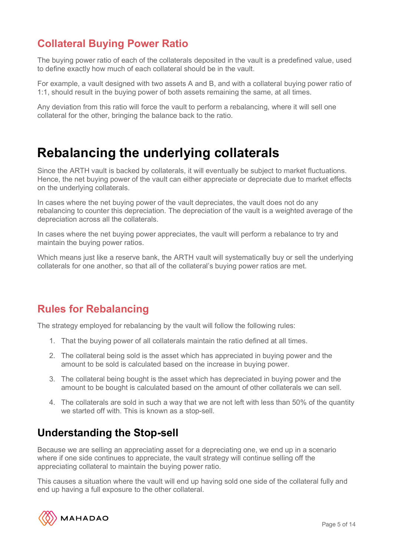### **Collateral Buying Power Ratio**

The buying power ratio of each of the collaterals deposited in the vault is a predefined value, used to define exactly how much of each collateral should be in the vault.

For example, a vault designed with two assets A and B, and with a collateral buying power ratio of 1:1, should result in the buying power of both assets remaining the same, at all times.

Any deviation from this ratio will force the vault to perform a rebalancing, where it will sell one collateral for the other, bringing the balance back to the ratio.

## **Rebalancing the underlying collaterals**

Since the ARTH vault is backed by collaterals, it will eventually be subject to market fluctuations. Hence, the net buying power of the vault can either appreciate or depreciate due to market effects on the underlying collaterals.

In cases where the net buying power of the vault depreciates, the vault does not do any rebalancing to counter this depreciation. The depreciation of the vault is a weighted average of the depreciation across all the collaterals.

In cases where the net buying power appreciates, the vault will perform a rebalance to try and maintain the buying power ratios.

Which means just like a reserve bank, the ARTH vault will systematically buy or sell the underlying collaterals for one another, so that all of the collateral's buying power ratios are met.

#### **Rules for Rebalancing**

The strategy employed for rebalancing by the vault will follow the following rules:

- 1. That the buying power of all collaterals maintain the ratio defined at all times.
- 2. The collateral being sold is the asset which has appreciated in buying power and the amount to be sold is calculated based on the increase in buying power.
- 3. The collateral being bought is the asset which has depreciated in buying power and the amount to be bought is calculated based on the amount of other collaterals we can sell.
- 4. The collaterals are sold in such a way that we are not left with less than 50% of the quantity we started off with. This is known as a stop-sell.

#### **Understanding the Stop-sell**

Because we are selling an appreciating asset for a depreciating one, we end up in a scenario where if one side continues to appreciate, the vault strategy will continue selling off the appreciating collateral to maintain the buying power ratio.

This causes a situation where the vault will end up having sold one side of the collateral fully and end up having a full exposure to the other collateral.

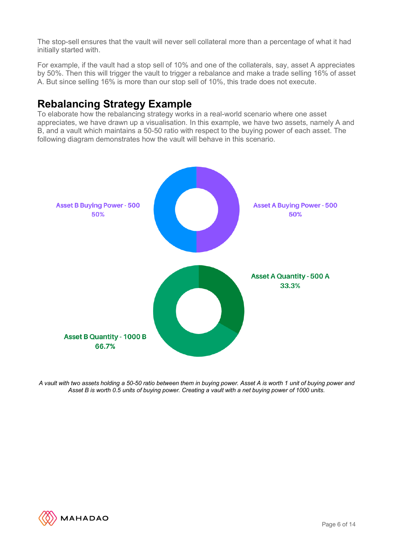The stop-sell ensures that the vault will never sell collateral more than a percentage of what it had initially started with.

For example, if the vault had a stop sell of 10% and one of the collaterals, say, asset A appreciates by 50%. Then this will trigger the vault to trigger a rebalance and make a trade selling 16% of asset A. But since selling 16% is more than our stop sell of 10%, this trade does not execute.

### **Rebalancing Strategy Example**

To elaborate how the rebalancing strategy works in a real-world scenario where one asset appreciates, we have drawn up a visualisation. In this example, we have two assets, namely A and B, and a vault which maintains a 50-50 ratio with respect to the buying power of each asset. The following diagram demonstrates how the vault will behave in this scenario.



A vault with two assets holding a 50-50 ratio between them in buying power. Asset A is worth 1 unit of buying power and Asset B is worth 0.5 units of buying power. Creating a vault with a net buying power of 1000 units.

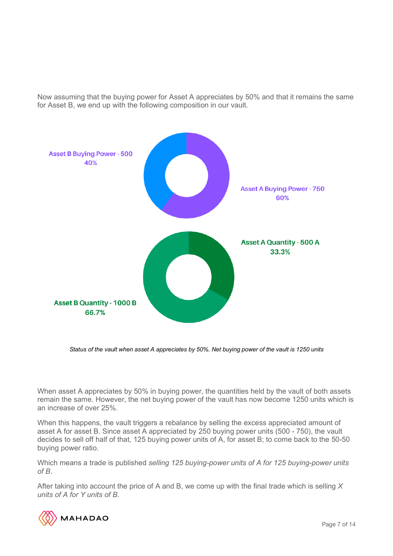Now assuming that the buying power for Asset A appreciates by 50% and that it remains the same for Asset B, we end up with the following composition in our vault.



Status of the vault when asset A appreciates by 50%. Net buying power of the vault is 1250 units

When asset A appreciates by 50% in buying power, the quantities held by the vault of both assets remain the same. However, the net buying power of the vault has now become 1250 units which is an increase of over 25%.

When this happens, the vault triggers a rebalance by selling the excess appreciated amount of asset A for asset B. Since asset A appreciated by 250 buying power units (500 - 750), the vault decides to sell off half of that, 125 buying power units of A, for asset B; to come back to the 50-50 buying power ratio.

Which means a trade is published *selling 125 buying-power units of A for 125 buying-power units of B*.

After taking into account the price of A and B, we come up with the final trade which is selling *X units of A for Y units of B*.

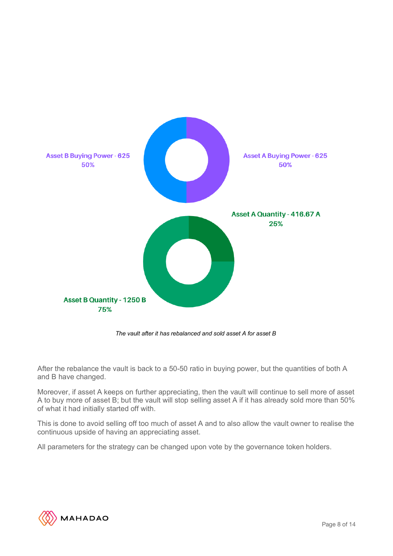

*The vault after it has rebalanced and sold asset A for asset B*

After the rebalance the vault is back to a 50-50 ratio in buying power, but the quantities of both A and B have changed.

Moreover, if asset A keeps on further appreciating, then the vault will continue to sell more of asset A to buy more of asset B; but the vault will stop selling asset A if it has already sold more than 50% of what it had initially started off with.

This is done to avoid selling off too much of asset A and to also allow the vault owner to realise the continuous upside of having an appreciating asset.

All parameters for the strategy can be changed upon vote by the governance token holders.

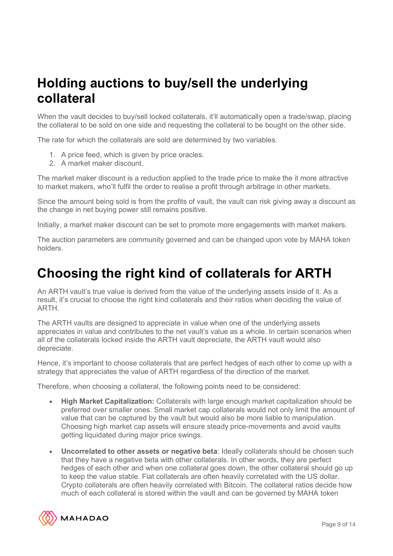## **Holding auctions to buy/sell the underlying collateral**

When the vault decides to buy/sell locked collaterals, it'll automatically open a trade/swap, placing the collateral to be sold on one side and requesting the collateral to be bought on the other side.

The rate for which the collaterals are sold are determined by two variables.

- 1. A price feed, which is given by price oracles.
- 2. A market maker discount.

The market maker discount is a reduction applied to the trade price to make the it more attractive to market makers, who'll fulfil the order to realise a profit through arbitrage in other markets.

Since the amount being sold is from the profits of vault, the vault can risk giving away a discount as the change in net buying power still remains positive.

Initially, a market maker discount can be set to promote more engagements with market makers.

The auction parameters are community governed and can be changed upon vote by MAHA token holders.

## **Choosing the right kind of collaterals for ARTH**

An ARTH vault's true value is derived from the value of the underlying assets inside of it. As a result, it's crucial to choose the right kind collaterals and their ratios when deciding the value of ARTH.

The ARTH vaults are designed to appreciate in value when one of the underlying assets appreciates in value and contributes to the net vault's value as a whole. In certain scenarios when all of the collaterals locked inside the ARTH vault depreciate, the ARTH vault would also depreciate.

Hence, it's important to choose collaterals that are perfect hedges of each other to come up with a strategy that appreciates the value of ARTH regardless of the direction of the market.

Therefore, when choosing a collateral, the following points need to be considered:

- **High Market Capitalization:** Collaterals with large enough market capitalization should be preferred over smaller ones. Small market cap collaterals would not only limit the amount of value that can be captured by the vault but would also be more liable to manipulation. Choosing high market cap assets will ensure steady price-movements and avoid vaults getting liquidated during major price swings.
- **Uncorrelated to other assets or negative beta**: Ideally collaterals should be chosen such that they have a negative beta with other collaterals. In other words, they are perfect hedges of each other and when one collateral goes down, the other collateral should go up to keep the value stable. Fiat collaterals are often heavily correlated with the US dollar. Crypto collaterals are often heavily correlated with Bitcoin. The collateral ratios decide how much of each collateral is stored within the vault and can be governed by MAHA token

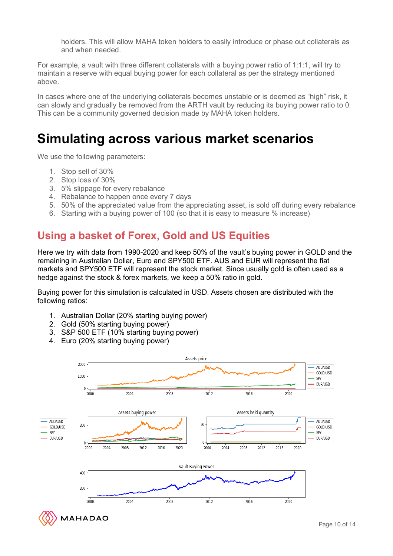holders. This will allow MAHA token holders to easily introduce or phase out collaterals as and when needed.

For example, a vault with three different collaterals with a buying power ratio of 1:1:1, will try to maintain a reserve with equal buying power for each collateral as per the strategy mentioned above.

In cases where one of the underlying collaterals becomes unstable or is deemed as "high" risk, it can slowly and gradually be removed from the ARTH vault by reducing its buying power ratio to 0. This can be a community governed decision made by MAHA token holders.

## **Simulating across various market scenarios**

We use the following parameters:

- 1. Stop sell of 30%
- 2. Stop loss of 30%
- 3. 5% slippage for every rebalance
- 4. Rebalance to happen once every 7 days
- 5. 50% of the appreciated value from the appreciating asset, is sold off during every rebalance
- 6. Starting with a buying power of 100 (so that it is easy to measure % increase)

#### **Using a basket of Forex, Gold and US Equities**

Here we try with data from 1990-2020 and keep 50% of the vault's buying power in GOLD and the remaining in Australian Dollar, Euro and SPY500 ETF. AUS and EUR will represent the fiat markets and SPY500 ETF will represent the stock market. Since usually gold is often used as a hedge against the stock & forex markets, we keep a 50% ratio in gold.

Buying power for this simulation is calculated in USD. Assets chosen are distributed with the following ratios:

- 1. Australian Dollar (20% starting buying power)
- 2. Gold (50% starting buying power)
- 3. S&P 500 ETF (10% starting buying power)
- 4. Euro (20% starting buying power)

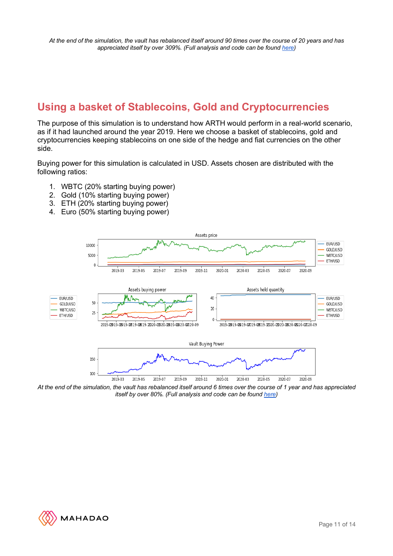#### **Using a basket of Stablecoins, Gold and Cryptocurrencies**

The purpose of this simulation is to understand how ARTH would perform in a real-world scenario, as if it had launched around the year 2019. Here we choose a basket of stablecoins, gold and cryptocurrencies keeping stablecoins on one side of the hedge and fiat currencies on the other side.

Buying power for this simulation is calculated in USD. Assets chosen are distributed with the following ratios:

- 1. WBTC (20% starting buying power)
- 2. Gold (10% starting buying power)
- 3. ETH (20% starting buying power)
- 4. Euro (50% starting buying power)



At the end of the simulation, the vault has rebalanced itself around 6 times over the course of 1 year and has appreciated *itself by over 80%. (Full analysis and code can be found here)*

![](_page_10_Picture_10.jpeg)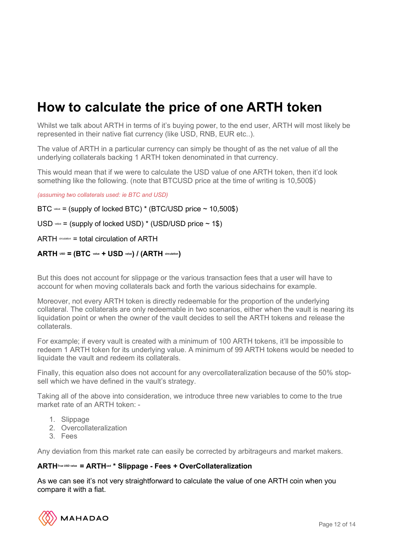## **How to calculate the price of one ARTH token**

Whilst we talk about ARTH in terms of it's buying power, to the end user, ARTH will most likely be represented in their native fiat currency (like USD, RNB, EUR etc..).

The value of ARTH in a particular currency can simply be thought of as the net value of all the underlying collaterals backing 1 ARTH token denominated in that currency.

This would mean that if we were to calculate the USD value of one ARTH token, then it'd look something like the following. (note that BTCUSD price at the time of writing is 10,500\$)

*(assuming two collaterals used: ie BTC and USD)*

 $BTC$  value = (supply of locked BTC) \* (BTC/USD price  $\sim$  10.500\$)

 $USD$  value = (supply of locked USD)  $*$  (USD/USD price  $\sim$  1\$)

 $ARTH$  dirculation = total circulation of  $ARTH$ 

#### **ARTH USD = (BTC value + USD value) / (ARTH circulation)**

But this does not account for slippage or the various transaction fees that a user will have to account for when moving collaterals back and forth the various sidechains for example.

Moreover, not every ARTH token is directly redeemable for the proportion of the underlying collateral. The collaterals are only redeemable in two scenarios, either when the vault is nearing its liquidation point or when the owner of the vault decides to sell the ARTH tokens and release the collaterals.

For example; if every vault is created with a minimum of 100 ARTH tokens, it'll be impossible to redeem 1 ARTH token for its underlying value. A minimum of 99 ARTH tokens would be needed to liquidate the vault and redeem its collaterals.

Finally, this equation also does not account for any overcollateralization because of the 50% stopsell which we have defined in the vault's strategy.

Taking all of the above into consideration, we introduce three new variables to come to the true market rate of an ARTH token: -

- 1. Slippage
- 2. Overcollateralization
- 3. Fees

Any deviation from this market rate can easily be corrected by arbitrageurs and market makers.

#### **ARTHTrue USD value = ARTHusd \* Slippage - Fees + OverCollateralization**

As we can see it's not very straightforward to calculate the value of one ARTH coin when you compare it with a fiat.

![](_page_11_Picture_20.jpeg)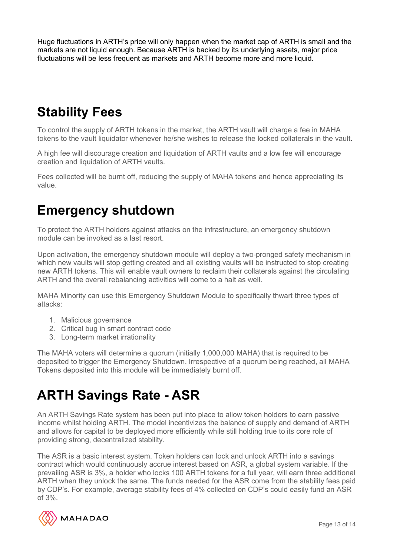Huge fluctuations in ARTH's price will only happen when the market cap of ARTH is small and the markets are not liquid enough. Because ARTH is backed by its underlying assets, major price fluctuations will be less frequent as markets and ARTH become more and more liquid.

# **Stability Fees**

To control the supply of ARTH tokens in the market, the ARTH vault will charge a fee in MAHA tokens to the vault liquidator whenever he/she wishes to release the locked collaterals in the vault.

A high fee will discourage creation and liquidation of ARTH vaults and a low fee will encourage creation and liquidation of ARTH vaults.

Fees collected will be burnt off, reducing the supply of MAHA tokens and hence appreciating its value.

## **Emergency shutdown**

To protect the ARTH holders against attacks on the infrastructure, an emergency shutdown module can be invoked as a last resort.

Upon activation, the emergency shutdown module will deploy a two-pronged safety mechanism in which new vaults will stop getting created and all existing vaults will be instructed to stop creating new ARTH tokens. This will enable vault owners to reclaim their collaterals against the circulating ARTH and the overall rebalancing activities will come to a halt as well.

MAHA Minority can use this Emergency Shutdown Module to specifically thwart three types of attacks:

- 1. Malicious governance
- 2. Critical bug in smart contract code
- 3. Long-term market irrationality

The MAHA voters will determine a quorum (initially 1,000,000 MAHA) that is required to be deposited to trigger the Emergency Shutdown. Irrespective of a quorum being reached, all MAHA Tokens deposited into this module will be immediately burnt off.

# **ARTH Savings Rate - ASR**

An ARTH Savings Rate system has been put into place to allow token holders to earn passive income whilst holding ARTH. The model incentivizes the balance of supply and demand of ARTH and allows for capital to be deployed more efficiently while still holding true to its core role of providing strong, decentralized stability.

The ASR is a basic interest system. Token holders can lock and unlock ARTH into a savings contract which would continuously accrue interest based on ASR, a global system variable. If the prevailing ASR is 3%, a holder who locks 100 ARTH tokens for a full year, will earn three additional ARTH when they unlock the same. The funds needed for the ASR come from the stability fees paid by CDP's. For example, average stability fees of 4% collected on CDP's could easily fund an ASR of 3%.

![](_page_12_Picture_16.jpeg)